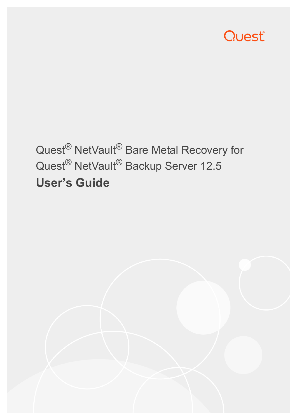

# Quest<sup>®</sup> NetVault<sup>®</sup> Bare Metal Recovery for Quest® NetVault® Backup Server 12.5 **User's Guide**

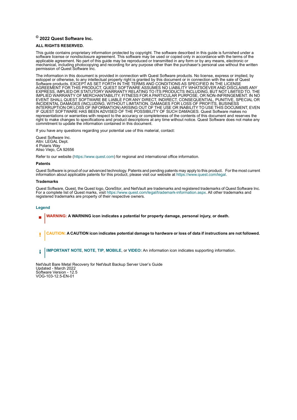### **© 2022 Quest Software Inc.**

### **ALL RIGHTS RESERVED.**

This guide contains proprietary information protected by copyright. The software described in this guide is furnished under a software license or nondisclosure agreement. This software may be used or copied only in accordance with the terms of the applicable agreement. No part of this guide may be reproduced or transmitted in any form or by any means, electronic or mechanical, including photocopying and recording for any purpose other than the purchaser's personal use without the written permission of Quest Software Inc.

The information in this document is provided in connection with Quest Software products. No license, express or implied, by estoppel or otherwise, to any intellectual property right is granted by this document or in connection with the sale of Quest Software products. EXCEPT AS SET FORTH IN THE TERMS AND CONDITIONS AS SPECIFIED IN THE LICENSE AGREEMENT FOR THIS PRODUCT, QUEST SOFTWARE ASSUMES NO LIABILITY WHATSOEVER AND DISCLAIMS ANY EXPRESS, IMPLIED OR STATUTORY WARRANTY RELATING TO ITS PRODUCTS INCLUDING, BUT NOT LIMITED TO, THE IMPLIED WARRANTY OF MERCHANTABILITY, FITNESS FOR A PARTICULAR PURPOSE, OR NON-INFRINGEMENT. IN NO EVENT SHALL QUEST SOFTWARE BE LIABLE FOR ANY DIRECT, INDIRECT, CONSEQUENTIAL, PUNITIVE, SPECIAL OR INCIDENTAL DAMAGES (INCLUDING, WITHOUT LIMITATION, DAMAGES FOR LOSS OF PROFITS, BUSINESS INTERRUPTION OR LOSS OF INFORMATION) ARISING OUT OF THE USE OR INABILITY TO USE THIS DOCUMENT, EVEN IF QUEST SOFTWARE HAS BEEN ADVISED OF THE POSSIBILITY OF SUCH DAMAGES. Quest Software makes no representations or warranties with respect to the accuracy or completeness of the contents of this document and reserves the right to make changes to specifications and product descriptions at any time without notice. Quest Software does not make any commitment to update the information contained in this document.

If you have any questions regarding your potential use of this material, contact:

Quest Software Inc. Attn: LEGAL Dept. 4 Polaris Way Aliso Viejo, CA 92656

Refer to our website [\(https://www.quest.com](https://www.quest.com)) for regional and international office information.

### **Patents**

Quest Software is proud of our advanced technology. Patents and pending patents may apply to this product. For the most current information about applicable patents for this product, please visit our website at [https://www.quest.com/legal.](https://www.quest.com/legal)

### **Trademarks**

Quest Software, Quest, the Quest logo, QoreStor, and NetVault are trademarks and registered trademarks of Quest Software Inc. For a complete list of Quest marks, visit [https://www.quest.com/legal/trademark-information.aspx.](https://www.quest.com/legal/trademark-information.aspx) All other trademarks and registered trademarks are property of their respective owners.

### **Legend**

- **WARNING: A WARNING icon indicates a potential for property damage, personal injury, or death.**
- **CAUTION: A CAUTION icon indicates potential damage to hardware or loss of data if instructions are not followed.** Ţ
- **IMPORTANT NOTE**, **NOTE**, **TIP**, **MOBILE**, or **VIDEO:** An information icon indicates supporting information.f

NetVault Bare Metal Recovery for NetVault Backup Server User's Guide Updated - March 2022 Software Version - 12.5 VOG-103-12.5-EN-01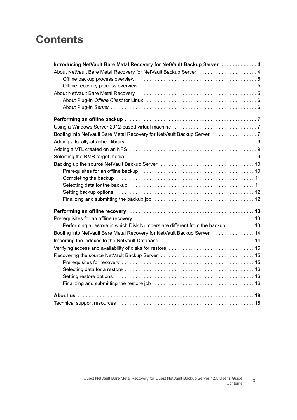## **Contents**

| Introducing NetVault Bare Metal Recovery for NetVault Backup Server  4      |  |
|-----------------------------------------------------------------------------|--|
| About NetVault Bare Metal Recovery for NetVault Backup Server 4             |  |
|                                                                             |  |
|                                                                             |  |
|                                                                             |  |
|                                                                             |  |
|                                                                             |  |
|                                                                             |  |
|                                                                             |  |
| Booting into NetVault Bare Metal Recovery for NetVault Backup Server        |  |
|                                                                             |  |
|                                                                             |  |
|                                                                             |  |
|                                                                             |  |
|                                                                             |  |
|                                                                             |  |
|                                                                             |  |
|                                                                             |  |
|                                                                             |  |
|                                                                             |  |
|                                                                             |  |
| Performing a restore in which Disk Numbers are different from the backup 13 |  |
| Booting into NetVault Bare Metal Recovery for NetVault Backup Server  14    |  |
|                                                                             |  |
|                                                                             |  |
|                                                                             |  |
|                                                                             |  |
|                                                                             |  |
|                                                                             |  |
|                                                                             |  |
|                                                                             |  |
|                                                                             |  |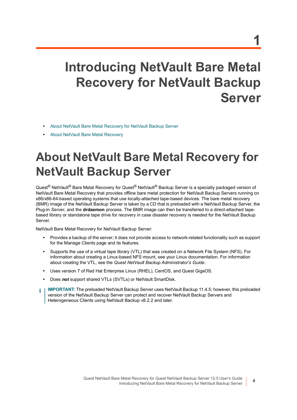# <span id="page-3-0"></span>**Introducing NetVault Bare Metal Recovery for NetVault Backup Server**

- **•** [About NetVault Bare Metal Recovery for NetVault Backup Server](#page-3-1)
- **•** [About NetVault Bare Metal Recovery](#page-4-2)

# <span id="page-3-1"></span>**About NetVault Bare Metal Recovery for NetVault Backup Server**

Quest<sup>®</sup> NetVault<sup>®</sup> Bare Metal Recovery for Quest<sup>®</sup> NetVault<sup>®</sup> Backup Server is a specially packaged version of NetVault Bare Metal Recovery that provides offline bare metal protection for NetVault Backup Servers running on x86/x86-64-based operating systems that use locally-attached tape-based devices. The bare metal recovery (BMR) image of the NetVault Backup Server is taken by a CD that is preloaded with a NetVault Backup Server, the Plug-in *Server*, and the **drdaemon** process. The BMR image can then be transferred to a direct-attached tapebased library or standalone tape drive for recovery in case disaster recovery is needed for the NetVault Backup Server.

NetVault Bare Metal Recovery for NetVault Backup Server:

- **•** Provides a backup of the server; it does not provide access to network-related functionality such as support for the Manage Clients page and its features.
- **•** Supports the use of a virtual tape library (VTL) that was created on a Network File System (NFS). For information about creating a Linux-based NFS mount, see your Linux documentation. For information about creating the VTL, see the *Quest NetVault Backup Administrator's Guide*.
- **•** Uses version 7 of Red Hat Enterprise Linux (RHEL), CentOS, and Quest GigaOS.
- **•** Does *not* support shared VTLs (SVTLs) or NetVault SmartDisk.
- **IMPORTANT:** The preloaded NetVault Backup Server uses NetVault Backup 11.4.5; however, this preloaded f version of the NetVault Backup Server can protect and recover NetVault Backup Servers and Heterogeneous Clients using NetVault Backup v8.2.2 and later.

**4**

**1**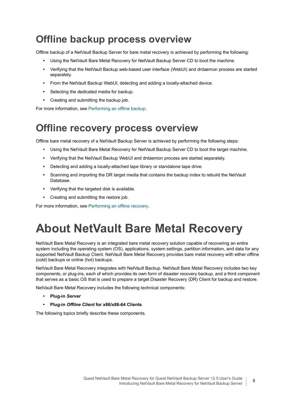### <span id="page-4-0"></span>**Offline backup process overview**

Offline backup of a NetVault Backup Server for bare metal recovery is achieved by performing the following:

- **•** Using the NetVault Bare Metal Recovery for NetVault Backup Server CD to boot the machine.
- **•** Verifying that the NetVault Backup web-based user interface (WebUI) and drdaemon process are started separately.
- **•** From the NetVault Backup WebUI, detecting and adding a locally-attached device.
- **•** Selecting the dedicated media for backup.
- **•** Creating and submitting the backup job.

For more information, see [Performing an offline backup.](#page-6-3)

### <span id="page-4-1"></span>**Offline recovery process overview**

Offline bare metal recovery of a NetVault Backup Server is achieved by performing the following steps:

- **•** Using the NetVault Bare Metal Recovery for NetVault Backup Server CD to boot the target machine.
- **•** Verifying that the NetVault Backup WebUI and drdaemon process are started separately.
- **•** Detecting and adding a locally-attached tape library or standalone tape drive.
- **•** Scanning and importing the DR target media that contains the backup index to rebuild the NetVault Database.
- **•** Verifying that the targeted disk is available.
- **•** Creating and submitting the restore job.

For more information, see [Performing an offline recovery](#page-12-3).

# <span id="page-4-2"></span>**About NetVault Bare Metal Recovery**

NetVault Bare Metal Recovery is an integrated bare metal recovery solution capable of recovering an entire system including the operating system (OS), applications, system settings, partition information, and data for any supported NetVault Backup Client. NetVault Bare Metal Recovery provides bare metal recovery with either offline (cold) backups or online (hot) backups.

NetVault Bare Metal Recovery integrates with NetVault Backup. NetVault Bare Metal Recovery includes two key components, or plug-ins, each of which provides its own form of disaster recovery backup, and a third component that serves as a basic OS that is used to prepare a target Disaster Recovery (DR) Client for backup and restore.

NetVault Bare Metal Recovery includes the following technical components:

- **• Plug-in** *Server*
- **• Plug-in** *Offline Client* **for x86/x86-64 Clients**

The following topics briefly describe these components.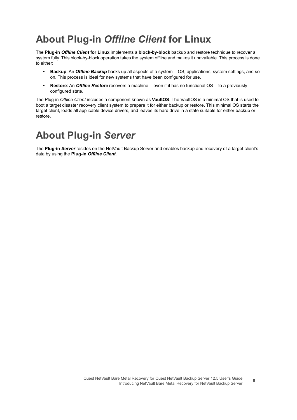### <span id="page-5-0"></span>**About Plug-in** *Offline Client* **for Linux**

The **Plug-in** *Offline Client* **for Linux** implements a **block-by-block** backup and restore technique to recover a system fully. This block-by-block operation takes the system offline and makes it unavailable. This process is done to either:

- **• Backup**: An *Offline Backup* backs up all aspects of a system—OS, applications, system settings, and so on. This process is ideal for new systems that have been configured for use.
- **• Restore**: An *Offline Restore* recovers a machine—even if it has no functional OS—to a previously configured state.

The Plug-in *Offline Client* includes a component known as **VaultOS**. The VaultOS is a minimal OS that is used to boot a target disaster recovery client system to prepare it for either backup or restore. This minimal OS starts the target client, loads all applicable device drivers, and leaves its hard drive in a state suitable for either backup or restore.

### <span id="page-5-1"></span>**About Plug-in** *Server*

The **Plug-in** *Server* resides on the NetVault Backup Server and enables backup and recovery of a target client's data by using the **Plug-in** *Offline Client*.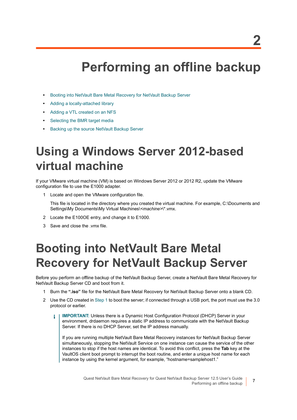# <span id="page-6-3"></span>**Performing an offline backup**

- <span id="page-6-0"></span>**•** [Booting into NetVault Bare Metal Recovery for NetVault Backup Server](#page-6-2)
- **•** [Adding a locally-attached library](#page-8-0)
- **•** [Adding a VTL created on an NFS](#page-8-1)
- **•** [Selecting the BMR target media](#page-8-2)
- **•** [Backing up the source NetVault Backup Server](#page-9-0)

# <span id="page-6-5"></span><span id="page-6-1"></span>**Using a Windows Server 2012-based virtual machine**

If your VMware virtual machine (VM) is based on Windows Server 2012 or 2012 R2, update the VMware configuration file to use the E1000 adapter.

1 Locate and open the VMware configuration file.

This file is located in the directory where you created the virtual machine. For example, C:\Documents and Settings\My Documents\My Virtual Machines\*<machine>*\\*.vmx.

- 2 Locate the E100OE entry, and change it to E1000.
- 3 Save and close the .vmx file.

# <span id="page-6-6"></span><span id="page-6-2"></span>**Booting into NetVault Bare Metal Recovery for NetVault Backup Server**

Before you perform an offline backup of the NetVault Backup Server, create a NetVault Bare Metal Recovery for NetVault Backup Server CD and boot from it.

- <span id="page-6-4"></span>1 Burn the **".iso"** file for the NetVault Bare Metal Recovery for NetVault Backup Server onto a blank CD.
- 2 Use the CD created in [Step 1](#page-6-4) to boot the server; if connected through a USB port, the port must use the 3.0 protocol or earlier.
	- **IMPORTANT:** Unless there is a Dynamic Host Configuration Protocol (DHCP) Server in your f. environment, drdaemon requires a static IP address to communicate with the NetVault Backup Server. If there is no DHCP Server, set the IP address manually.

If you are running multiple NetVault Bare Metal Recovery instances for NetVault Backup Server simultaneously, stopping the NetVault Service on one instance can cause the service of the other instances to stop if the host names are identical. To avoid this conflict, press the **Tab** key at the VaultOS client boot prompt to interrupt the boot routine, and enter a unique host name for each instance by using the kernel argument, for example, "hostname=samplehost1."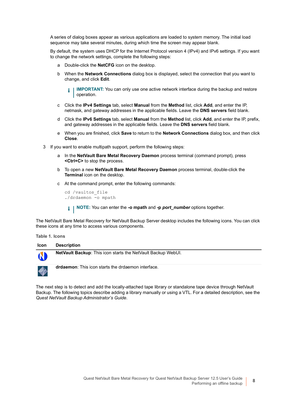A series of dialog boxes appear as various applications are loaded to system memory. The initial load sequence may take several minutes, during which time the screen may appear blank.

By default, the system uses DHCP for the Internet Protocol version 4 (IPv4) and IPv6 settings. If you want to change the network settings, complete the following steps:

- a Double-click the **NetCFG** icon on the desktop.
- b When the **Network Connections** dialog box is displayed, select the connection that you want to change, and click **Edit**.

**IMPORTANT:** You can only use one active network interface during the backup and restore ÷ operation.

- c Click the **IPv4 Settings** tab, select **Manual** from the **Method** list, click **Add**, and enter the IP, netmask, and gateway addresses in the applicable fields. Leave the **DNS servers** field blank.
- d Click the **IPv6 Settings** tab, select **Manual** from the **Method** list, click **Add**, and enter the IP, prefix, and gateway addresses in the applicable fields. Leave the **DNS servers** field blank.
- e When you are finished, click **Save** to return to the **Network Connections** dialog box, and then click **Close**.
- 3 If you want to enable multipath support, perform the following steps:
	- a In the **NetVault Bare Metal Recovery Daemon** process terminal (command prompt), press **<Ctrl+C>** to stop the process.
	- b To open a new **NetVault Bare Metal Recovery Daemon** process terminal, double-click the **Terminal** icon on the desktop.
	- c At the command prompt, enter the following commands:

cd /vaultos\_file ./drdaemon -o mpath

**NOTE:** You can enter the **-o mpath** and **-p** *port\_number* options together.

The NetVault Bare Metal Recovery for NetVault Backup Server desktop includes the following icons. You can click these icons at any time to access various components.

**Table 1. Icons**



The next step is to detect and add the locally-attached tape library or standalone tape device through NetVault Backup. The following topics describe adding a library manually or using a VTL. For a detailed description, see the *Quest NetVault Backup Administrator's Guide*.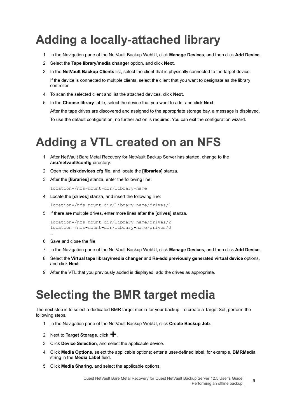# <span id="page-8-0"></span>**Adding a locally-attached library**

- 1 In the Navigation pane of the NetVault Backup WebUI, click **Manage Devices**, and then click **Add Device**.
- 2 Select the **Tape library/media changer** option, and click **Next**.
- 3 In the **NetVault Backup Clients** list, select the client that is physically connected to the target device. If the device is connected to multiple clients, select the client that you want to designate as the library controller.
- 4 To scan the selected client and list the attached devices, click **Next**.
- 5 In the **Choose library** table, select the device that you want to add, and click **Next**. After the tape drives are discovered and assigned to the appropriate storage bay, a message is displayed. To use the default configuration, no further action is required. You can exit the configuration wizard.

# <span id="page-8-1"></span>**Adding a VTL created on an NFS**

- 1 After NetVault Bare Metal Recovery for NetVault Backup Server has started, change to the **/usr/netvault/config** directory.
- 2 Open the **diskdevices.cfg** file, and locate the **[libraries]** stanza.
- 3 After the **[libraries]** stanza, enter the following line:

location=/nfs-mount-dir/library-name

4 Locate the **[drives]** stanza, and insert the following line:

location=/nfs-mount-dir/library-name/drives/1

5 If there are multiple drives, enter more lines after the **[drives]** stanza.

```
location=/nfs-mount-dir/library-name/drives/2
location=/nfs-mount-dir/library-name/drives/3
```
6 Save and close the file.

…

- 7 In the Navigation pane of the NetVault Backup WebUI, click **Manage Devices**, and then click **Add Device**.
- 8 Select the **Virtual tape library/media changer** and **Re-add previously generated virtual device** options, and click **Next**.
- 9 After the VTL that you previously added is displayed, add the drives as appropriate.

## <span id="page-8-2"></span>**Selecting the BMR target media**

The next step is to select a dedicated BMR target media for your backup. To create a Target Set, perform the following steps.

- 1 In the Navigation pane of the NetVault Backup WebUI, click **Create Backup Job**.
- 2 Next to **Target Storage**, click  $\text{+}$ .
- 3 Click **Device Selection**, and select the applicable device.
- 4 Click **Media Options**, select the applicable options; enter a user-defined label, for example, **BMRMedia**  string in the **Media Label** field.
- 5 Click **Media Sharing**, and select the applicable options.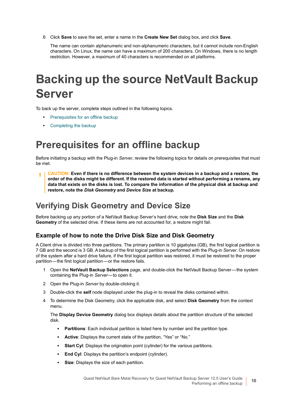6 Click **Save** to save the set, enter a name in the **Create New Set** dialog box, and click **Save**.

The name can contain alphanumeric and non-alphanumeric characters, but it cannot include non-English characters. On Linux, the name can have a maximum of 200 characters. On Windows, there is no length restriction. However, a maximum of 40 characters is recommended on all platforms.

# <span id="page-9-0"></span>**Backing up the source NetVault Backup Server**

To back up the server, complete steps outlined in the following topics.

- **•** [Prerequisites for an offline backup](#page-9-1)
- **•** [Completing the backup](#page-10-0)

### <span id="page-9-1"></span>**Prerequisites for an offline backup**

Before initiating a backup with the Plug-in *Server*, review the following topics for details on prerequisites that must be met.

**CAUTION: Even if there is no difference between the system devices in a backup and a restore, the**  п **order of the disks might be different. If the restored data is started without performing a rename, any data that exists on the disks is lost. To compare the information of the physical disk at backup and restore, note the** *Disk Geometry* **and** *Device Size* **at backup.**

### **Verifying Disk Geometry and Device Size**

Before backing up any portion of a NetVault Backup Server's hard drive, note the **Disk Size** and the **Disk Geometry** of the selected drive. If these items are not accounted for, a restore might fail.

### **Example of how to note the Drive Disk Size and Disk Geometry**

A Client drive is divided into three partitions. The primary partition is 10 gigabytes (GB), the first logical partition is 7 GB and the second is 3 GB. A backup of the first logical partition is performed with the Plug-in *Server*. On restore of the system after a hard drive failure, if the first logical partition was restored, it must be restored to the proper partition—the first logical partition—or the restore fails.

- 1 Open the **NetVault Backup Selections** page, and double-click the NetVault Backup Server—the system containing the Plug-in *Server*—to open it.
- 2 Open the Plug-in *Server* by double-clicking it.
- 3 Double-click the **self** node displayed under the plug-in to reveal the disks contained within.
- 4 To determine the Disk Geometry, click the applicable disk, and select **Disk Geometry** from the context menu.

The **Display Device Geometry** dialog box displays details about the partition structure of the selected disk.

- **Partitions**: Each individual partition is listed here by number and the partition type.
- **▪ Active**: Displays the current state of the partition, "Yes" or "No."
- **Start Cyl**: Displays the origination point (cylinder) for the various partitions.
- **End Cyl: Displays the partition's endpoint (cylinder).**
- **Size:** Displays the size of each partition.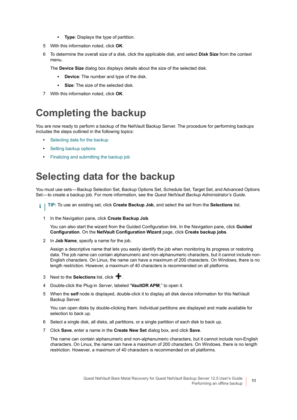- **▪ Type**: Displays the type of partition.
- 5 With this information noted, click **OK**.
- 6 To determine the overall size of a disk, click the applicable disk, and select **Disk Size** from the context menu.

The **Device Size** dialog box displays details about the size of the selected disk.

- **▪ Device**: The number and type of the disk.
- **Size:** The size of the selected disk.
- 7 With this information noted, click **OK**.

### <span id="page-10-0"></span>**Completing the backup**

You are now ready to perform a backup of the NetVault Backup Server. The procedure for performing backups includes the steps outlined in the following topics:

- **•** [Selecting data for the backup](#page-10-1)
- **•** [Setting backup options](#page-11-0)
- **•** [Finalizing and submitting the backup job](#page-11-1)

### <span id="page-10-1"></span>**Selecting data for the backup**

You must use sets—Backup Selection Set, Backup Options Set, Schedule Set, Target Set, and Advanced Options Set—to create a backup job. For more information, see the *Quest NetVault Backup Administrator's Guide*.

- **TIP:** To use an existing set, click **Create Backup Job**, and select the set from the **Selections** list. $\ddot{\mathbf{i}}$ 
	- 1 In the Navigation pane, click **Create Backup Job**.

You can also start the wizard from the Guided Configuration link. In the Navigation pane, click **Guided Configuration**. On the **NetVault Configuration Wizard** page, click **Create backup jobs**.

2 In **Job Name**, specify a name for the job.

Assign a descriptive name that lets you easily identify the job when monitoring its progress or restoring data. The job name can contain alphanumeric and non-alphanumeric characters, but it cannot include non-English characters. On Linux, the name can have a maximum of 200 characters. On Windows, there is no length restriction. However, a maximum of 40 characters is recommended on all platforms.

- 3 Next to the **Selections** list, click  $\textbf{+}$ .
- 4 Double-click the Plug-in *Server*, labeled "**VaultDR APM**," to open it.
- 5 When the **self** node is displayed, double-click it to display all disk device information for this NetVault Backup Server.

You can open disks by double-clicking them. Individual partitions are displayed and made available for selection to back up.

- 6 Select a single disk, all disks, all partitions, or a single partition of each disk to back up.
- 7 Click **Save**, enter a name in the **Create New Set** dialog box, and click **Save**.

The name can contain alphanumeric and non-alphanumeric characters, but it cannot include non-English characters. On Linux, the name can have a maximum of 200 characters. On Windows, there is no length restriction. However, a maximum of 40 characters is recommended on all platforms.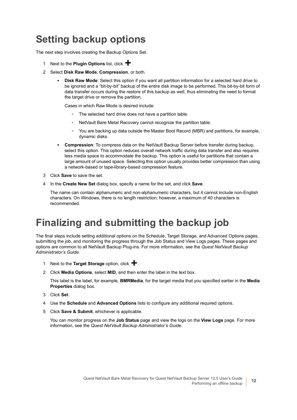## <span id="page-11-0"></span>**Setting backup options**

The next step involves creating the Backup Options Set.

- 1 Next to the **Plugin Options** list, click **+**.
- 2 Select **Disk Raw Mode**, **Compression**, or both.
	- **Disk Raw Mode:** Select this option if you want all partition information for a selected hard drive to be ignored and a "bit-by-bit" backup of the entire disk image to be performed. This bit-by-bit form of data transfer occurs during the restore of this backup as well, thus eliminating the need to format the target drive or remove the partition.

Cases in which Raw Mode is desired include:

- **▫** The selected hard drive does not have a partition table.
- **▫** NetVault Bare Metal Recovery cannot recognize the partition table.
- **▫** You are backing up data outside the Master Boot Record (MBR) and partitions, for example, dynamic disks.
- **Compression:** To compress data on the NetVault Backup Server before transfer during backup, select this option. This option reduces overall network traffic during data transfer and also requires less media space to accommodate the backup. This option is useful for partitions that contain a large amount of unused space. Selecting this option usually provides better compression than using a network-based or tape-library-based compression feature.
- 3 Click **Save** to save the set.
- 4 In the **Create New Set** dialog box, specify a name for the set, and click **Save**.

The name can contain alphanumeric and non-alphanumeric characters, but it cannot include non-English characters. On Windows, there is no length restriction; however, a maximum of 40 characters is recommended.

### <span id="page-11-1"></span>**Finalizing and submitting the backup job**

The final steps include setting additional options on the Schedule, Target Storage, and Advanced Options pages, submitting the job, and monitoring the progress through the Job Status and View Logs pages. These pages and options are common to all NetVault Backup Plug-ins. For more information, see the *Quest NetVault Backup Administrator's Guide*.

- 1 Next to the **Target Storage** option, click **+**.
- 2 Click **Media Options**, select **MID**, and then enter the label in the text box.

This label is the label, for example, **BMRMedia**, for the target media that you specified earlier in the **Media Properties** dialog box.

- 3 Click **Set**.
- 4 Use the **Schedule** and **Advanced Options** lists to configure any additional required options.
- 5 Click **Save & Submit**, whichever is applicable.

You can monitor progress on the **Job Status** page and view the logs on the **View Logs** page. For more information, see the *Quest NetVault Backup Administrator's Guide*.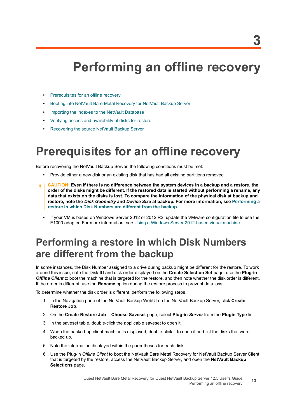# <span id="page-12-3"></span>**Performing an offline recovery**

- <span id="page-12-0"></span>**•** [Prerequisites for an offline recovery](#page-12-1)
- **•** [Booting into NetVault Bare Metal Recovery for NetVault Backup Server](#page-13-0)
- **•** [Importing the indexes to the NetVault Database](#page-13-1)
- **•** [Verifying access and availability of disks for restore](#page-14-0)
- **•** [Recovering the source NetVault Backup Server](#page-14-1)

## <span id="page-12-1"></span>**Prerequisites for an offline recovery**

Before recovering the NetVault Backup Server, the following conditions must be met:

- **•** Provide either a new disk or an existing disk that has had all existing partitions removed.
- **CAUTION: Even if there is no difference between the system devices in a backup and a restore, the order of the disks might be different. If the restored data is started without performing a rename, any data that exists on the disks is lost. To compare the information of the physical disk at backup and restore, note the** *Disk Geometry* **and** *Device Size* **at backup. For more information, see [Performing a](#page-12-2)  [restore in which Disk Numbers are different from the backup.](#page-12-2)**
	- **•** If your VM is based on Windows Server 2012 or 2012 R2, update the VMware configuration file to use the E1000 adapter. For more information, see [Using a Windows Server 2012-based virtual machine.](#page-6-5)

### <span id="page-12-2"></span>**Performing a restore in which Disk Numbers are different from the backup**

In some instances, the Disk Number assigned to a drive during backup might be different for the restore. To work around this issue, note the Disk ID and disk order displayed on the **Create Selection Set** page, use the **Plug-in**  *Offline Client* to boot the machine that is targeted for the restore, and then note whether the disk order is different. If the order is different, use the **Rename** option during the restore process to prevent data loss.

To determine whether the disk order is different, perform the following steps.

- 1 In the Navigation pane of the NetVault Backup WebUI on the NetVault Backup Server, click **Create Restore Job**.
- 2 On the **Create Restore Job—Choose Saveset** page, select **Plug-in** *Server* from the **Plugin Type** list.
- 3 In the saveset table, double-click the applicable saveset to open it.
- 4 When the backed-up client machine is displayed, double-click it to open it and list the disks that were backed up.
- 5 Note the information displayed within the parentheses for each disk.
- 6 Use the Plug-in *Offline Client* to boot the NetVault Bare Metal Recovery for NetVault Backup Server Client that is targeted by the restore, access the NetVault Backup Server, and open the **NetVault Backup Selections** page.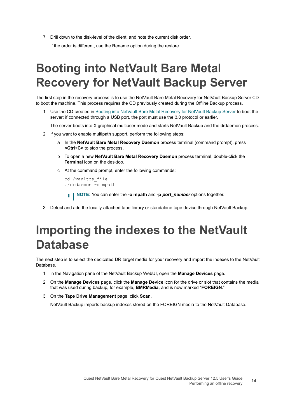7 Drill down to the disk-level of the client, and note the current disk order. If the order is different, use the Rename option during the restore.

# <span id="page-13-0"></span>**Booting into NetVault Bare Metal Recovery for NetVault Backup Server**

The first step in the recovery process is to use the NetVault Bare Metal Recovery for NetVault Backup Server CD to boot the machine. This process requires the CD previously created during the Offline Backup process.

Use the CD created in [Booting into NetVault Bare Metal Recovery for NetVault Backup Server](#page-6-6) to boot the server; if connected through a USB port, the port must use the 3.0 protocol or earlier.

The server boots into X graphical multiuser mode and starts NetVault Backup and the drdaemon process.

- 2 If you want to enable multipath support, perform the following steps:
	- a In the **NetVault Bare Metal Recovery Daemon** process terminal (command prompt), press **<Ctrl+C>** to stop the process.
	- b To open a new **NetVault Bare Metal Recovery Daemon** process terminal, double-click the **Terminal** icon on the desktop.
	- c At the command prompt, enter the following commands:

```
cd /vaultos_file
./drdaemon -o mpath
```
- **NOTE:** You can enter the **-o mpath** and **-p** *port\_number* options together.
- 3 Detect and add the locally-attached tape library or standalone tape device through NetVault Backup.

## <span id="page-13-1"></span>**Importing the indexes to the NetVault Database**

The next step is to select the dedicated DR target media for your recovery and import the indexes to the NetVault Database.

- 1 In the Navigation pane of the NetVault Backup WebUI, open the **Manage Devices** page.
- 2 On the **Manage Devices** page, click the **Manage Device** icon for the drive or slot that contains the media that was used during backup, for example, **BMRMedia**, and is now marked "**FOREIGN**."
- 3 On the **Tape Drive Management** page, click **Scan**.

NetVault Backup imports backup indexes stored on the FOREIGN media to the NetVault Database.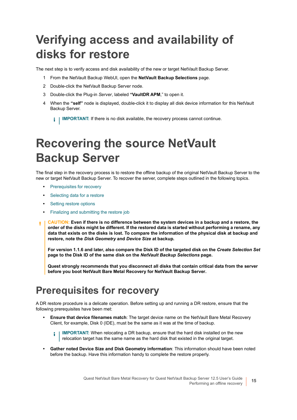# <span id="page-14-0"></span>**Verifying access and availability of disks for restore**

The next step is to verify access and disk availability of the new or target NetVault Backup Server.

- 1 From the NetVault Backup WebUI, open the **NetVault Backup Selections** page.
- 2 Double-click the NetVault Backup Server node.
- 3 Double-click the Plug-in *Server*, labeled **"VaultDR APM**," to open it.
- 4 When the **"self"** node is displayed, double-click it to display all disk device information for this NetVault Backup Server.

**IMPORTANT:** If there is no disk available, the recovery process cannot continue. i I

# <span id="page-14-1"></span>**Recovering the source NetVault Backup Server**

The final step in the recovery process is to restore the offline backup of the original NetVault Backup Server to the new or target NetVault Backup Server. To recover the server, complete steps outlined in the following topics.

- **•** [Prerequisites for recovery](#page-14-2)
- **•** [Selecting data for a restore](#page-15-0)
- **•** [Setting restore options](#page-15-1)
- **•** [Finalizing and submitting the restore job](#page-15-2)
- **CAUTION: Even if there is no difference between the system devices in a backup and a restore, the**  T. **order of the disks might be different. If the restored data is started without performing a rename, any data that exists on the disks is lost. To compare the information of the physical disk at backup and restore, note the** *Disk Geometry* **and** *Device Size* **at backup.**

**For version 1.1.6 and later, also compare the Disk ID of the targeted disk on the** *Create Selection Set*  **page to the Disk ID of the same disk on the** *NetVault Backup Selections* **page.**

**Quest strongly recommends that you disconnect all disks that contain critical data from the server before you boot NetVault Bare Metal Recovery for NetVault Backup Server.**

### <span id="page-14-2"></span>**Prerequisites for recovery**

A DR restore procedure is a delicate operation. Before setting up and running a DR restore, ensure that the following prerequisites have been met:

- **• Ensure that device filenames match**: The target device name on the NetVault Bare Metal Recovery Client, for example, Disk 0 (IDE), must be the same as it was at the time of backup.
	- **IMPORTANT:** When relocating a DR backup, ensure that the hard disk installed on the new f. relocation target has the same name as the hard disk that existed in the original target.
- **• Gather noted Device Size and Disk Geometry information**: This information should have been noted before the backup. Have this information handy to complete the restore properly.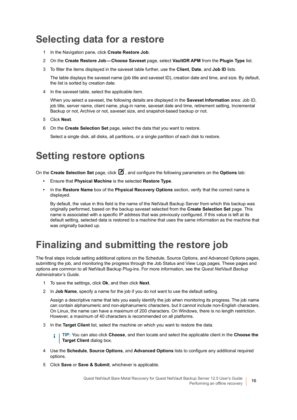### <span id="page-15-0"></span>**Selecting data for a restore**

- 1 In the Navigation pane, click **Create Restore Job**.
- 2 On the **Create Restore Job—Choose Saveset** page, select **VaultDR APM** from the **Plugin Type** list.
- 3 To filter the items displayed in the saveset table further, use the **Client**, **Date**, and **Job ID** lists.

The table displays the saveset name (job title and saveset ID), creation date and time, and size. By default, the list is sorted by creation date.

4 In the saveset table, select the applicable item.

When you select a saveset, the following details are displayed in the **Saveset Information** area: Job ID, job title, server name, client name, plug-in name, saveset date and time, retirement setting, Incremental Backup or not, Archive or not, saveset size, and snapshot-based backup or not.

- 5 Click **Next**.
- 6 On the **Create Selection Set** page, select the data that you want to restore.

Select a single disk, all disks, all partitions, or a single partition of each disk to restore.

### <span id="page-15-1"></span>**Setting restore options**

On the **Create Selection Set** page, click **1**, and configure the following parameters on the **Options** tab:

- **•** Ensure that **Physical Machine** is the selected **Restore Type**.
- **•** In the **Restore Name** box of the **Physical Recovery Options** section, verify that the correct name is displayed.

By default, the value in this field is the name of the NetVault Backup Server from which this backup was originally performed, based on the backup saveset selected from the **Create Selection Set** page. This name is associated with a specific IP address that was previously configured. If this value is left at its default setting, selected data is restored to a machine that uses the same information as the machine that was originally backed up.

### <span id="page-15-2"></span>**Finalizing and submitting the restore job**

The final steps include setting additional options on the Schedule, Source Options, and Advanced Options pages, submitting the job, and monitoring the progress through the Job Status and View Logs pages. These pages and options are common to all NetVault Backup Plug-ins. For more information, see the *Quest NetVault Backup Administrator's Guide*.

- 1 To save the settings, click **Ok**, and then click **Next**.
- 2 In **Job Name**, specify a name for the job if you do not want to use the default setting.

Assign a descriptive name that lets you easily identify the job when monitoring its progress. The job name can contain alphanumeric and non-alphanumeric characters, but it cannot include non-English characters. On Linux, the name can have a maximum of 200 characters. On Windows, there is no length restriction. However, a maximum of 40 characters is recommended on all platforms.

3 In the **Target Client** list, select the machine on which you want to restore the data.

**TIP:** You can also click **Choose**, and then locate and select the applicable client in the **Choose the**  f. **Target Client** dialog box.

- 4 Use the **Schedule**, **Source Options**, and **Advanced Options** lists to configure any additional required options.
- 5 Click **Save** or **Save & Submit**, whichever is applicable.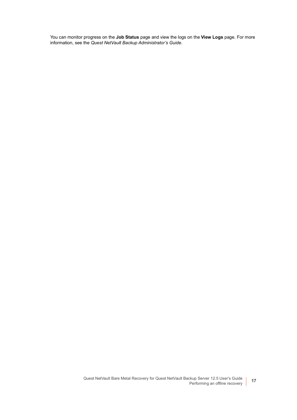You can monitor progress on the **Job Status** page and view the logs on the **View Logs** page. For more information, see the *Quest NetVault Backup Administrator's Guide*.